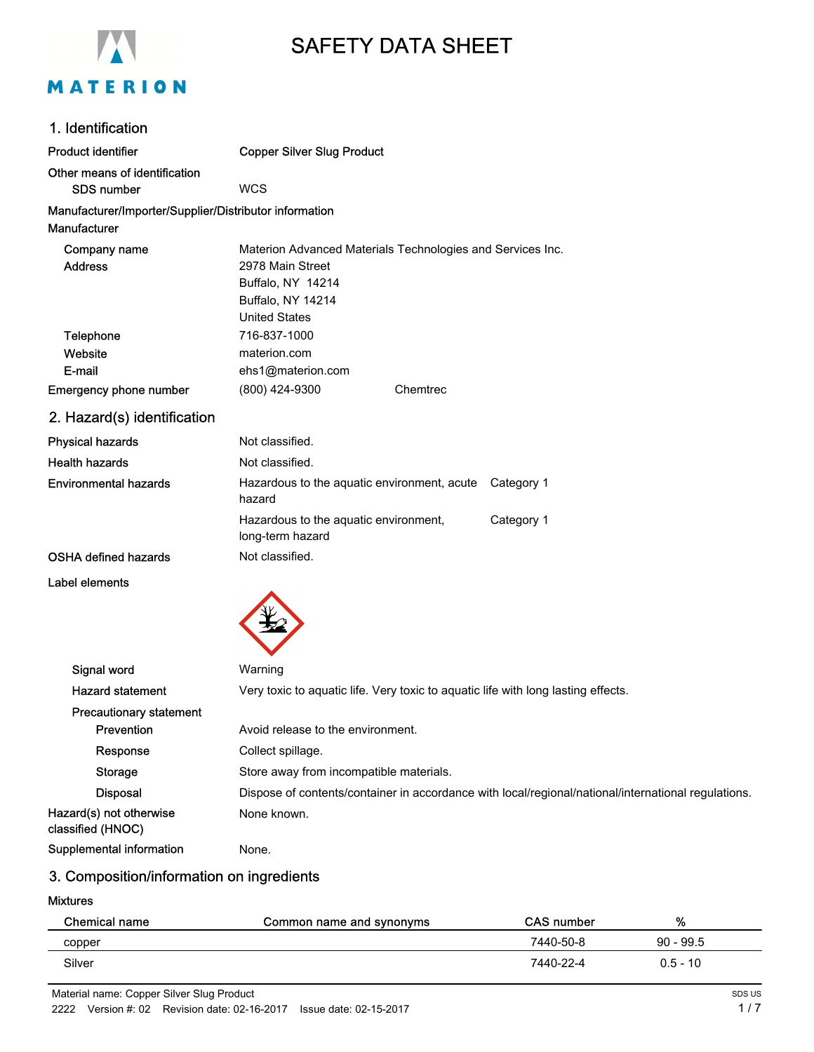

# SAFETY DATA SHEET

## 1. Identification

| <b>Product identifier</b>                              | <b>Copper Silver Slug Product</b>                              |                                                            |
|--------------------------------------------------------|----------------------------------------------------------------|------------------------------------------------------------|
| Other means of identification<br><b>SDS number</b>     | <b>WCS</b>                                                     |                                                            |
| Manufacturer/Importer/Supplier/Distributor information |                                                                |                                                            |
| Manufacturer                                           |                                                                |                                                            |
| Company name<br><b>Address</b>                         | 2978 Main Street                                               | Materion Advanced Materials Technologies and Services Inc. |
|                                                        | Buffalo, NY 14214<br>Buffalo, NY 14214<br><b>United States</b> |                                                            |
| Telephone                                              | 716-837-1000                                                   |                                                            |
| Website                                                | materion.com                                                   |                                                            |
| E-mail                                                 | ehs1@materion.com                                              |                                                            |
| <b>Emergency phone number</b>                          | (800) 424-9300                                                 | Chemtrec                                                   |
| 2. Hazard(s) identification                            |                                                                |                                                            |
| <b>Physical hazards</b>                                | Not classified.                                                |                                                            |
| <b>Health hazards</b>                                  | Not classified.                                                |                                                            |
| <b>Environmental hazards</b>                           | Hazardous to the aquatic environment, acute<br>hazard          | Category 1                                                 |

OSHA defined hazards Not classified.

Label elements



long-term hazard

| Signal word                                  | Warning                                                                                             |
|----------------------------------------------|-----------------------------------------------------------------------------------------------------|
| <b>Hazard statement</b>                      | Very toxic to aquatic life. Very toxic to aquatic life with long lasting effects.                   |
| <b>Precautionary statement</b>               |                                                                                                     |
| <b>Prevention</b>                            | Avoid release to the environment.                                                                   |
| Response                                     | Collect spillage.                                                                                   |
| Storage                                      | Store away from incompatible materials.                                                             |
| <b>Disposal</b>                              | Dispose of contents/container in accordance with local/regional/national/international regulations. |
| Hazard(s) not otherwise<br>classified (HNOC) | None known.                                                                                         |
| Supplemental information                     | None.                                                                                               |

Hazardous to the aquatic environment, Category 1

## 3. Composition/information on ingredients

#### Mixtures

| Chemical name | Common name and synonyms | <b>CAS number</b> | %           |  |
|---------------|--------------------------|-------------------|-------------|--|
| copper        |                          | 7440-50-8         | $90 - 99.5$ |  |
| Silver        |                          | 7440-22-4         | $0.5 - 10$  |  |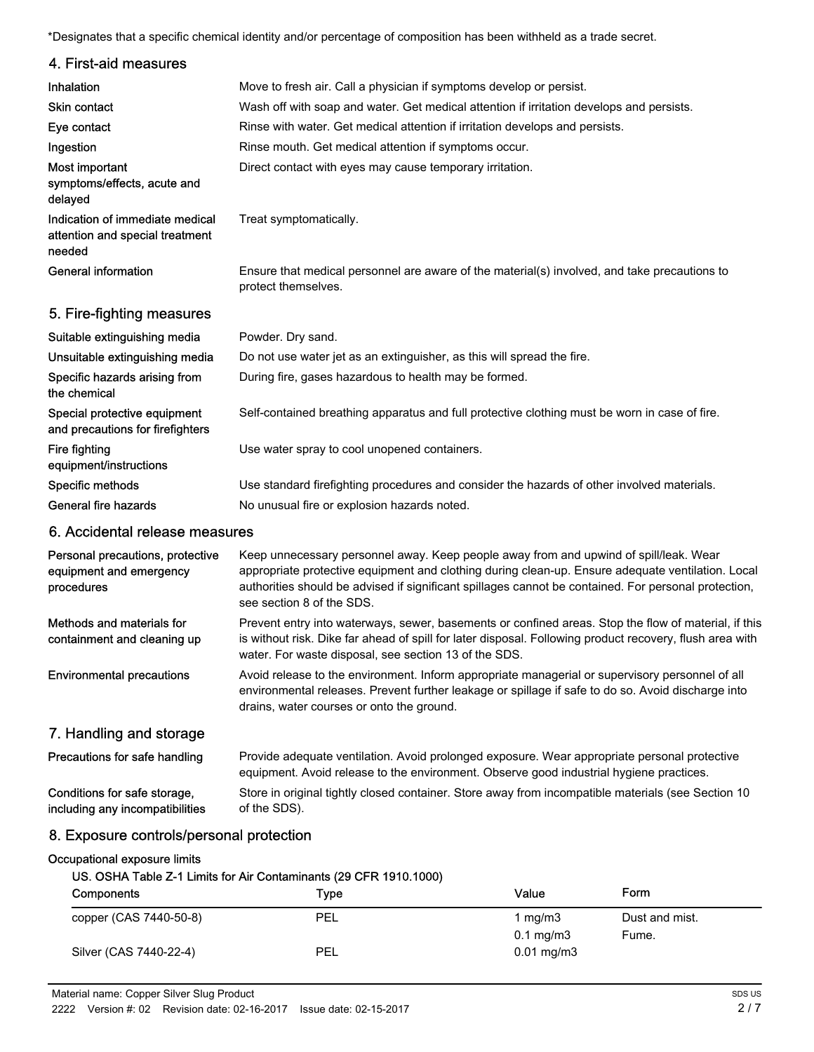\*Designates that a specific chemical identity and/or percentage of composition has been withheld as a trade secret.

| 4. First-aid measures                                                        |                                                                                                                                                                                                                                                                                                                                 |
|------------------------------------------------------------------------------|---------------------------------------------------------------------------------------------------------------------------------------------------------------------------------------------------------------------------------------------------------------------------------------------------------------------------------|
| Inhalation                                                                   | Move to fresh air. Call a physician if symptoms develop or persist.                                                                                                                                                                                                                                                             |
| Skin contact                                                                 | Wash off with soap and water. Get medical attention if irritation develops and persists.                                                                                                                                                                                                                                        |
| Eye contact                                                                  | Rinse with water. Get medical attention if irritation develops and persists.                                                                                                                                                                                                                                                    |
| Ingestion                                                                    | Rinse mouth. Get medical attention if symptoms occur.                                                                                                                                                                                                                                                                           |
| Most important<br>symptoms/effects, acute and<br>delayed                     | Direct contact with eyes may cause temporary irritation.                                                                                                                                                                                                                                                                        |
| Indication of immediate medical<br>attention and special treatment<br>needed | Treat symptomatically.                                                                                                                                                                                                                                                                                                          |
| <b>General information</b>                                                   | Ensure that medical personnel are aware of the material(s) involved, and take precautions to<br>protect themselves.                                                                                                                                                                                                             |
| 5. Fire-fighting measures                                                    |                                                                                                                                                                                                                                                                                                                                 |
| Suitable extinguishing media                                                 | Powder. Dry sand.                                                                                                                                                                                                                                                                                                               |
| Unsuitable extinguishing media                                               | Do not use water jet as an extinguisher, as this will spread the fire.                                                                                                                                                                                                                                                          |
| Specific hazards arising from<br>the chemical                                | During fire, gases hazardous to health may be formed.                                                                                                                                                                                                                                                                           |
| Special protective equipment<br>and precautions for firefighters             | Self-contained breathing apparatus and full protective clothing must be worn in case of fire.                                                                                                                                                                                                                                   |
| Fire fighting<br>equipment/instructions                                      | Use water spray to cool unopened containers.                                                                                                                                                                                                                                                                                    |
| Specific methods                                                             | Use standard firefighting procedures and consider the hazards of other involved materials.                                                                                                                                                                                                                                      |
| <b>General fire hazards</b>                                                  | No unusual fire or explosion hazards noted.                                                                                                                                                                                                                                                                                     |
| 6. Accidental release measures                                               |                                                                                                                                                                                                                                                                                                                                 |
| Personal precautions, protective<br>equipment and emergency<br>procedures    | Keep unnecessary personnel away. Keep people away from and upwind of spill/leak. Wear<br>appropriate protective equipment and clothing during clean-up. Ensure adequate ventilation. Local<br>authorities should be advised if significant spillages cannot be contained. For personal protection,<br>see section 8 of the SDS. |
| Methods and materials for<br>containment and cleaning up                     | Prevent entry into waterways, sewer, basements or confined areas. Stop the flow of material, if this<br>is without risk. Dike far ahead of spill for later disposal. Following product recovery, flush area with<br>water. For waste disposal, see section 13 of the SDS.                                                       |
| <b>Environmental precautions</b>                                             | Avoid release to the environment. Inform appropriate managerial or supervisory personnel of all<br>environmental releases. Prevent further leakage or spillage if safe to do so. Avoid discharge into<br>drains, water courses or onto the ground.                                                                              |
| 7. Handling and storage                                                      |                                                                                                                                                                                                                                                                                                                                 |
| Precautions for safe handling                                                | Provide adequate ventilation. Avoid prolonged exposure. Wear appropriate personal protective<br>equipment. Avoid release to the environment. Observe good industrial hygiene practices.                                                                                                                                         |
| Conditions for safe storage,<br>including any incompatibilities              | Store in original tightly closed container. Store away from incompatible materials (see Section 10<br>of the SDS).                                                                                                                                                                                                              |
| 8. Exposure controls/personal protection                                     |                                                                                                                                                                                                                                                                                                                                 |
| Occupational exposure limits                                                 | US. OSHA Table Z-1 Limits for Air Contaminants (29 CFR 1910.1000)                                                                                                                                                                                                                                                               |

| Components             | Type       | Value                             | Form                    |
|------------------------|------------|-----------------------------------|-------------------------|
| copper (CAS 7440-50-8) | <b>PEL</b> | 1 mg/m3<br>$0.1 \,\mathrm{mg/m3}$ | Dust and mist.<br>Fume. |
| Silver (CAS 7440-22-4) | <b>PEL</b> | $0.01 \,\mathrm{mg/m3}$           |                         |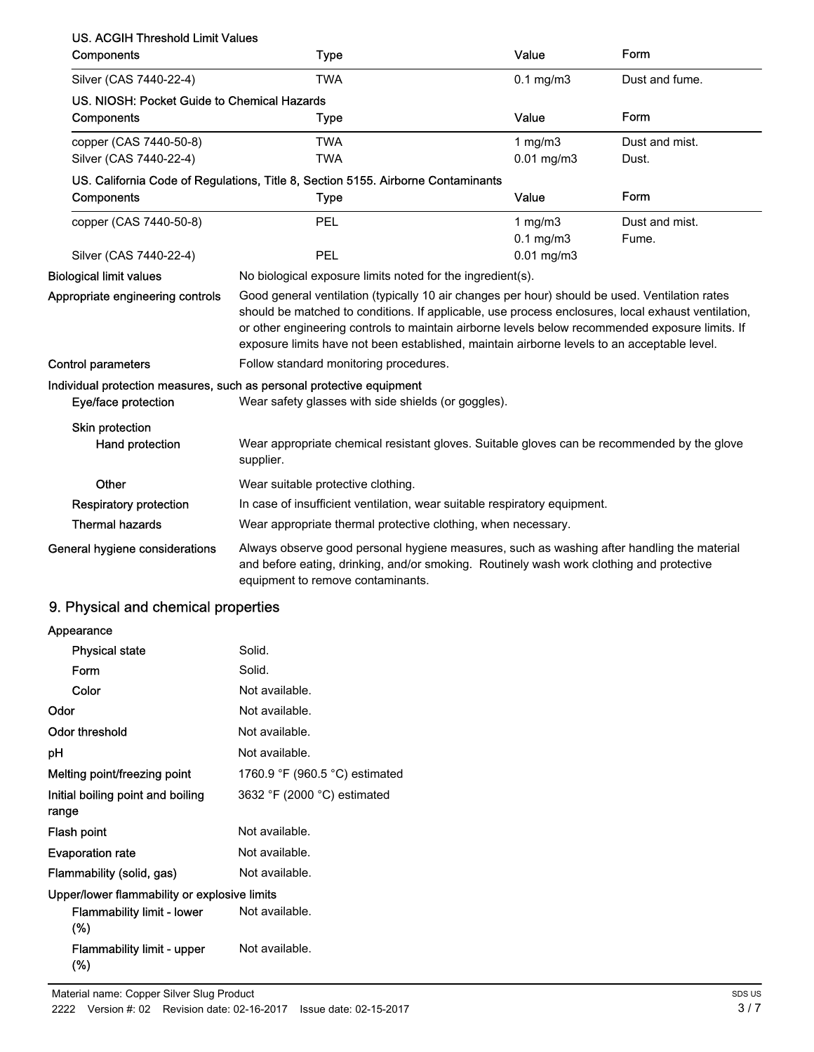| <b>US. ACGIH Threshold Limit Values</b>     |                                                                                                                                                                                                                                                                                                                                                                                                        |                 |                |  |
|---------------------------------------------|--------------------------------------------------------------------------------------------------------------------------------------------------------------------------------------------------------------------------------------------------------------------------------------------------------------------------------------------------------------------------------------------------------|-----------------|----------------|--|
| Components                                  | <b>Type</b>                                                                                                                                                                                                                                                                                                                                                                                            | Value           | Form           |  |
| Silver (CAS 7440-22-4)                      | <b>TWA</b>                                                                                                                                                                                                                                                                                                                                                                                             | $0.1$ mg/m $3$  | Dust and fume. |  |
| US. NIOSH: Pocket Guide to Chemical Hazards |                                                                                                                                                                                                                                                                                                                                                                                                        |                 |                |  |
| Components                                  | <b>Type</b>                                                                                                                                                                                                                                                                                                                                                                                            | Value           | Form           |  |
| copper (CAS 7440-50-8)                      | <b>TWA</b>                                                                                                                                                                                                                                                                                                                                                                                             | 1 $mg/m3$       | Dust and mist. |  |
| Silver (CAS 7440-22-4)                      | <b>TWA</b>                                                                                                                                                                                                                                                                                                                                                                                             | $0.01$ mg/m $3$ | Dust.          |  |
|                                             | US. California Code of Regulations, Title 8, Section 5155. Airborne Contaminants                                                                                                                                                                                                                                                                                                                       |                 |                |  |
| Components                                  | <b>Type</b>                                                                                                                                                                                                                                                                                                                                                                                            | Value           | Form           |  |
| copper (CAS 7440-50-8)                      | PEL                                                                                                                                                                                                                                                                                                                                                                                                    | 1 $mg/m3$       | Dust and mist. |  |
|                                             |                                                                                                                                                                                                                                                                                                                                                                                                        | $0.1$ mg/m $3$  | Fume.          |  |
| Silver (CAS 7440-22-4)                      | PEL                                                                                                                                                                                                                                                                                                                                                                                                    | $0.01$ mg/m $3$ |                |  |
| <b>Biological limit values</b>              | No biological exposure limits noted for the ingredient(s).                                                                                                                                                                                                                                                                                                                                             |                 |                |  |
| Appropriate engineering controls            | Good general ventilation (typically 10 air changes per hour) should be used. Ventilation rates<br>should be matched to conditions. If applicable, use process enclosures, local exhaust ventilation,<br>or other engineering controls to maintain airborne levels below recommended exposure limits. If<br>exposure limits have not been established, maintain airborne levels to an acceptable level. |                 |                |  |
| <b>Control parameters</b>                   | Follow standard monitoring procedures.                                                                                                                                                                                                                                                                                                                                                                 |                 |                |  |
| Eye/face protection                         | Individual protection measures, such as personal protective equipment<br>Wear safety glasses with side shields (or goggles).                                                                                                                                                                                                                                                                           |                 |                |  |
| Skin protection<br>Hand protection          | Wear appropriate chemical resistant gloves. Suitable gloves can be recommended by the glove<br>supplier.                                                                                                                                                                                                                                                                                               |                 |                |  |
| Other                                       | Wear suitable protective clothing.                                                                                                                                                                                                                                                                                                                                                                     |                 |                |  |
| <b>Respiratory protection</b>               | In case of insufficient ventilation, wear suitable respiratory equipment.                                                                                                                                                                                                                                                                                                                              |                 |                |  |
| <b>Thermal hazards</b>                      | Wear appropriate thermal protective clothing, when necessary.                                                                                                                                                                                                                                                                                                                                          |                 |                |  |
| General hygiene considerations              | Always observe good personal hygiene measures, such as washing after handling the material<br>and before eating, drinking, and/or smoking. Routinely wash work clothing and protective<br>equipment to remove contaminants.                                                                                                                                                                            |                 |                |  |

## 9. Physical and chemical properties

| Appearance                                   |                                |
|----------------------------------------------|--------------------------------|
| <b>Physical state</b>                        | Solid.                         |
| Form                                         | Solid.                         |
| Color                                        | Not available.                 |
| Odor                                         | Not available.                 |
| Odor threshold                               | Not available.                 |
| рH                                           | Not available.                 |
| Melting point/freezing point                 | 1760.9 °F (960.5 °C) estimated |
| Initial boiling point and boiling<br>range   | 3632 °F (2000 °C) estimated    |
| Flash point                                  | Not available.                 |
| <b>Evaporation rate</b>                      | Not available.                 |
| Flammability (solid, gas)                    | Not available.                 |
| Upper/lower flammability or explosive limits |                                |
| Flammability limit - lower<br>(%)            | Not available.                 |
| <b>Flammability limit - upper</b><br>(%)     | Not available.                 |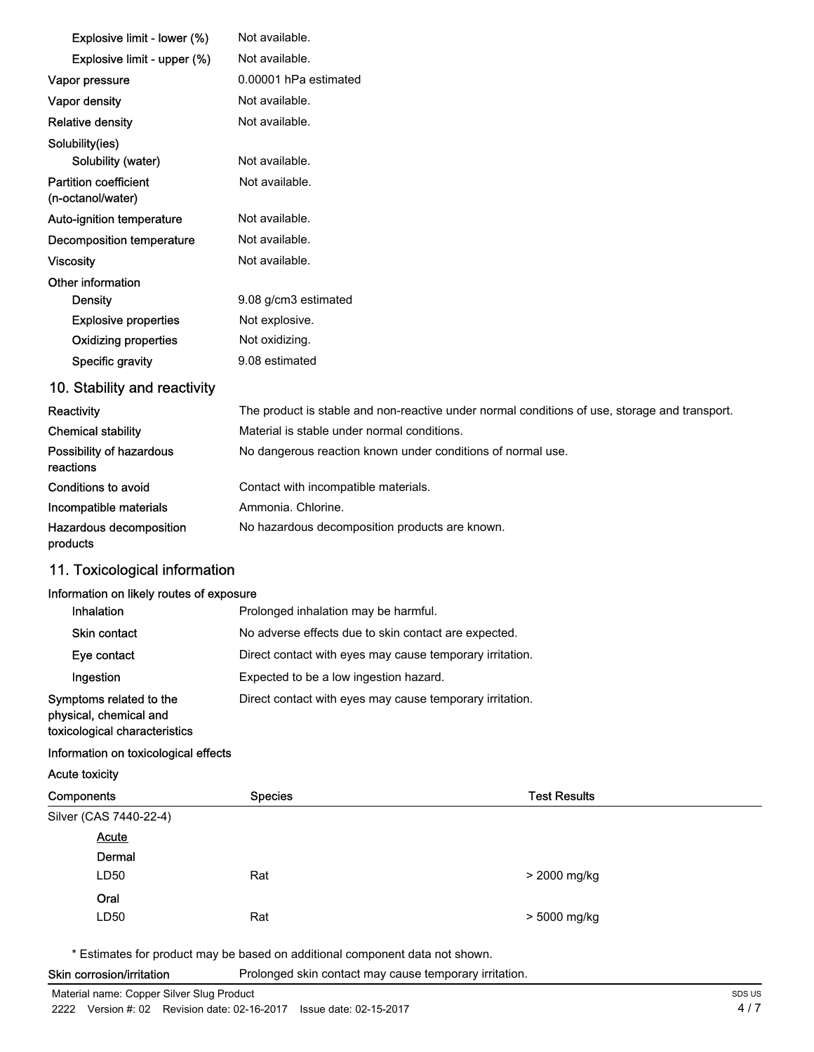| Explosive limit - lower (%)                       | Not available.                                                                                |
|---------------------------------------------------|-----------------------------------------------------------------------------------------------|
| Explosive limit - upper (%)                       | Not available.                                                                                |
| Vapor pressure                                    | 0.00001 hPa estimated                                                                         |
| Vapor density                                     | Not available.                                                                                |
| <b>Relative density</b>                           | Not available.                                                                                |
| Solubility(ies)                                   |                                                                                               |
| Solubility (water)                                | Not available.                                                                                |
| <b>Partition coefficient</b><br>(n-octanol/water) | Not available.                                                                                |
| Auto-ignition temperature                         | Not available.                                                                                |
| <b>Decomposition temperature</b>                  | Not available.                                                                                |
| <b>Viscosity</b>                                  | Not available.                                                                                |
| Other information                                 |                                                                                               |
| <b>Density</b>                                    | 9.08 g/cm3 estimated                                                                          |
| <b>Explosive properties</b>                       | Not explosive.                                                                                |
| <b>Oxidizing properties</b>                       | Not oxidizing.                                                                                |
| Specific gravity                                  | 9.08 estimated                                                                                |
| 10. Stability and reactivity                      |                                                                                               |
| Reactivity                                        | The product is stable and non-reactive under normal conditions of use, storage and transport. |
| <b>Chemical stability</b>                         | Material is stable under normal conditions.                                                   |
| Possibility of hazardous<br>reactions             | No dangerous reaction known under conditions of normal use.                                   |
| Conditions to avoid                               | Contact with incompatible materials.                                                          |
| Incompatible materials                            | Ammonia, Chlorine.                                                                            |
| Hazardous decomposition<br>products               | No hazardous decomposition products are known.                                                |

## 11. Toxicological information

#### Information on likely routes of exposure

| Inhalation                                                                         | Prolonged inhalation may be harmful.                     |
|------------------------------------------------------------------------------------|----------------------------------------------------------|
| <b>Skin contact</b>                                                                | No adverse effects due to skin contact are expected.     |
| Eye contact                                                                        | Direct contact with eyes may cause temporary irritation. |
| Ingestion                                                                          | Expected to be a low ingestion hazard.                   |
| Symptoms related to the<br>physical, chemical and<br>toxicological characteristics | Direct contact with eyes may cause temporary irritation. |

#### Information on toxicological effects

Acute toxicity

| Components             | <b>Species</b> | <b>Test Results</b> |
|------------------------|----------------|---------------------|
| Silver (CAS 7440-22-4) |                |                     |
| <b>Acute</b>           |                |                     |
| Dermal                 |                |                     |
| LD50                   | Rat            | > 2000 mg/kg        |
| Oral                   |                |                     |
| LD50                   | Rat            | > 5000 mg/kg        |

\* Estimates for product may be based on additional component data not shown.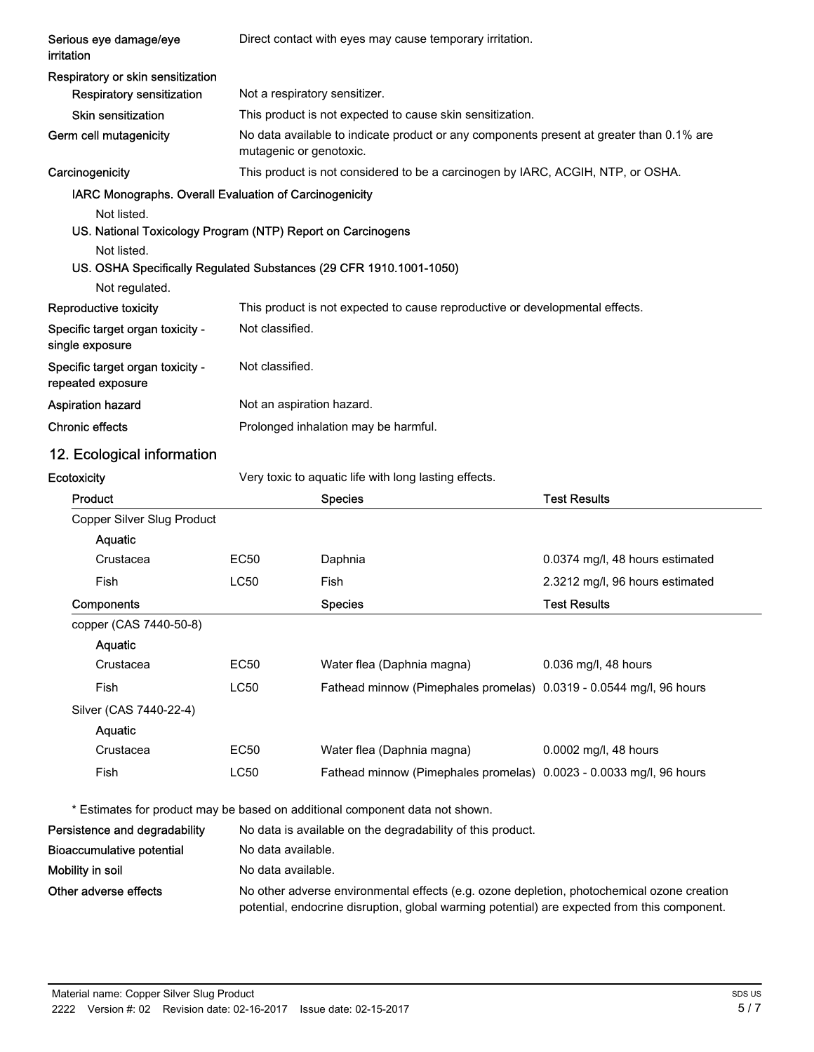| Serious eye damage/eye<br>irritation                               | Direct contact with eyes may cause temporary irritation. |                                                                                          |                                 |
|--------------------------------------------------------------------|----------------------------------------------------------|------------------------------------------------------------------------------------------|---------------------------------|
| Respiratory or skin sensitization                                  |                                                          |                                                                                          |                                 |
| <b>Respiratory sensitization</b>                                   | Not a respiratory sensitizer.                            |                                                                                          |                                 |
| <b>Skin sensitization</b>                                          |                                                          | This product is not expected to cause skin sensitization.                                |                                 |
| Germ cell mutagenicity                                             | mutagenic or genotoxic.                                  | No data available to indicate product or any components present at greater than 0.1% are |                                 |
| Carcinogenicity                                                    |                                                          | This product is not considered to be a carcinogen by IARC, ACGIH, NTP, or OSHA.          |                                 |
| IARC Monographs. Overall Evaluation of Carcinogenicity             |                                                          |                                                                                          |                                 |
| Not listed.                                                        |                                                          |                                                                                          |                                 |
| US. National Toxicology Program (NTP) Report on Carcinogens        |                                                          |                                                                                          |                                 |
| Not listed.                                                        |                                                          |                                                                                          |                                 |
| US. OSHA Specifically Regulated Substances (29 CFR 1910.1001-1050) |                                                          |                                                                                          |                                 |
| Not regulated.                                                     |                                                          |                                                                                          |                                 |
| Reproductive toxicity                                              |                                                          | This product is not expected to cause reproductive or developmental effects.             |                                 |
| Specific target organ toxicity -<br>single exposure                | Not classified.                                          |                                                                                          |                                 |
| Specific target organ toxicity -<br>repeated exposure              | Not classified.                                          |                                                                                          |                                 |
| <b>Aspiration hazard</b>                                           | Not an aspiration hazard.                                |                                                                                          |                                 |
| <b>Chronic effects</b>                                             |                                                          | Prolonged inhalation may be harmful.                                                     |                                 |
| 12. Ecological information                                         |                                                          |                                                                                          |                                 |
| Ecotoxicity                                                        |                                                          | Very toxic to aquatic life with long lasting effects.                                    |                                 |
| Product                                                            |                                                          | <b>Species</b>                                                                           | <b>Test Results</b>             |
| Copper Silver Slug Product                                         |                                                          |                                                                                          |                                 |
| Aquatic                                                            |                                                          |                                                                                          |                                 |
| Crustacea                                                          | <b>EC50</b>                                              | Daphnia                                                                                  | 0.0374 mg/l, 48 hours estimated |
| Fish                                                               | <b>LC50</b>                                              | Fish                                                                                     | 2.3212 mg/l, 96 hours estimated |
| Components                                                         |                                                          | <b>Species</b>                                                                           | <b>Test Results</b>             |
| copper (CAS 7440-50-8)                                             |                                                          |                                                                                          |                                 |
| Aquatic                                                            |                                                          |                                                                                          |                                 |
| Crustacea                                                          | EC50                                                     | Water flea (Daphnia magna)                                                               | 0.036 mg/l, 48 hours            |
| Fish                                                               | <b>LC50</b>                                              | Fathead minnow (Pimephales promelas) 0.0319 - 0.0544 mg/l, 96 hours                      |                                 |
| Silver (CAS 7440-22-4)                                             |                                                          |                                                                                          |                                 |
| Aquatic                                                            |                                                          |                                                                                          |                                 |
| Crustacea                                                          | <b>EC50</b>                                              | Water flea (Daphnia magna)                                                               | 0.0002 mg/l, 48 hours           |
| Fish                                                               | <b>LC50</b>                                              | Fathead minnow (Pimephales promelas) 0.0023 - 0.0033 mg/l, 96 hours                      |                                 |
|                                                                    |                                                          | * Estimates for product may be based on additional component data not shown.             |                                 |
| Persistence and degradability                                      |                                                          | No data is available on the degradability of this product.                               |                                 |
| <b>Bioaccumulative potential</b>                                   | No data available.                                       |                                                                                          |                                 |
| Mobility in soil                                                   | No data available.                                       |                                                                                          |                                 |

Other adverse effects No other adverse environmental effects (e.g. ozone depletion, photochemical ozone creation potential, endocrine disruption, global warming potential) are expected from this component.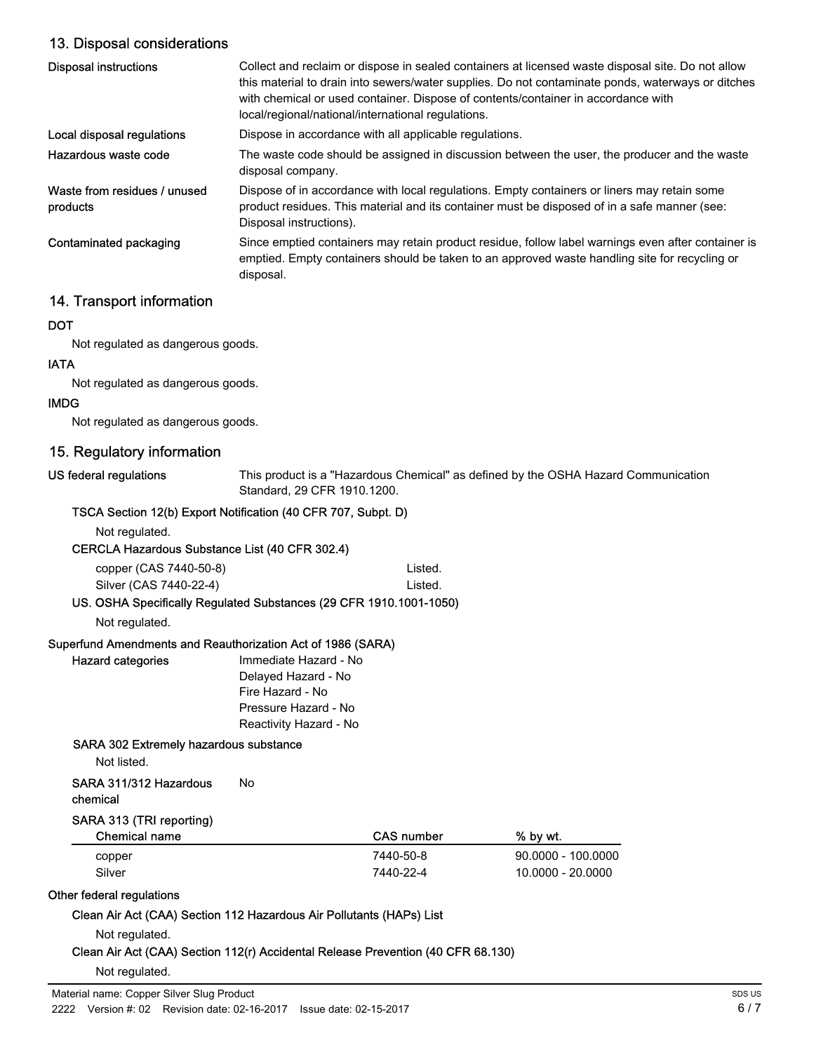## 13. Disposal considerations

| <b>Disposal instructions</b>             | Collect and reclaim or dispose in sealed containers at licensed waste disposal site. Do not allow<br>this material to drain into sewers/water supplies. Do not contaminate ponds, waterways or ditches<br>with chemical or used container. Dispose of contents/container in accordance with<br>local/regional/national/international regulations. |
|------------------------------------------|---------------------------------------------------------------------------------------------------------------------------------------------------------------------------------------------------------------------------------------------------------------------------------------------------------------------------------------------------|
| Local disposal regulations               | Dispose in accordance with all applicable regulations.                                                                                                                                                                                                                                                                                            |
| Hazardous waste code                     | The waste code should be assigned in discussion between the user, the producer and the waste<br>disposal company.                                                                                                                                                                                                                                 |
| Waste from residues / unused<br>products | Dispose of in accordance with local regulations. Empty containers or liners may retain some<br>product residues. This material and its container must be disposed of in a safe manner (see:<br>Disposal instructions).                                                                                                                            |
| Contaminated packaging                   | Since emptied containers may retain product residue, follow label warnings even after container is<br>emptied. Empty containers should be taken to an approved waste handling site for recycling or<br>disposal.                                                                                                                                  |

## 14. Transport information

## **DOT**

Not regulated as dangerous goods.

## IATA

Not regulated as dangerous goods.

#### IMDG

Not regulated as dangerous goods.

## 15. Regulatory information

US federal regulations

This product is a "Hazardous Chemical" as defined by the OSHA Hazard Communication Standard, 29 CFR 1910.1200.

## TSCA Section 12(b) Export Notification (40 CFR 707, Subpt. D)

Not regulated.

CERCLA Hazardous Substance List (40 CFR 302.4)

| copper (CAS 7440-50-8) | Listed. |
|------------------------|---------|
| Silver (CAS 7440-22-4) | Listed. |

## US. OSHA Specifically Regulated Substances (29 CFR 1910.1001-1050)

Not regulated.

#### Superfund Amendments and Reauthorization Act of 1986 (SARA)

| <b>Hazard categories</b> | Immediate Hazard - No  |
|--------------------------|------------------------|
|                          | Delayed Hazard - No    |
|                          | Fire Hazard - No       |
|                          | Pressure Hazard - No   |
|                          | Reactivity Hazard - No |
|                          |                        |

## SARA 302 Extremely hazardous substance

Not listed.

#### SARA 311/312 Hazardous No chemical

## SARA 313 (TRI reporting)

| Chemical name | <b>CAS number</b> | % by wt.             |
|---------------|-------------------|----------------------|
| copper        | 7440-50-8         | $90.0000 - 100.0000$ |
| Silver        | 7440-22-4         | 10.0000 - 20.0000    |

## Other federal regulations

Clean Air Act (CAA) Section 112 Hazardous Air Pollutants (HAPs) List

Not regulated.

#### Clean Air Act (CAA) Section 112(r) Accidental Release Prevention (40 CFR 68.130)

Not regulated.